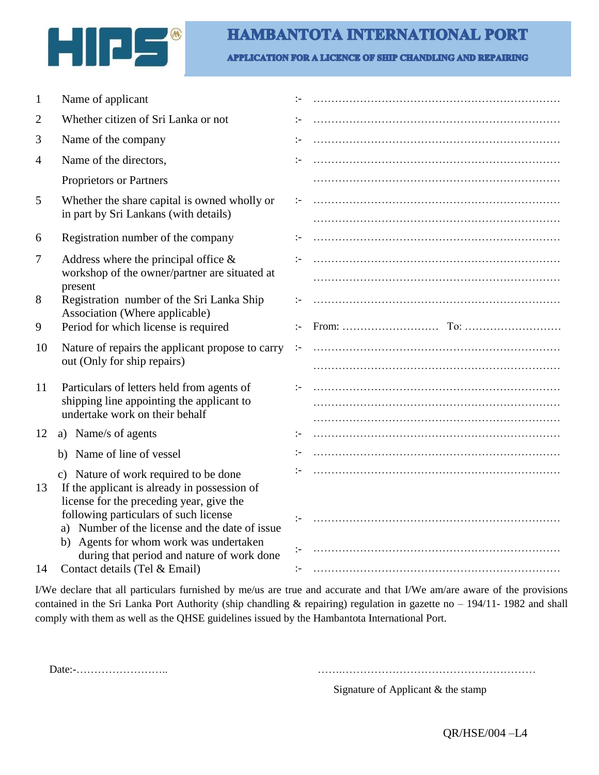

APPLICATION FOR A LICENCE OF SHIP CHANDLING AND REPAIRING

| 1  | Name of applicant                                                                                                                   |               |  |
|----|-------------------------------------------------------------------------------------------------------------------------------------|---------------|--|
| 2  | Whether citizen of Sri Lanka or not                                                                                                 | $:-$          |  |
| 3  | Name of the company                                                                                                                 | $:-$          |  |
| 4  | Name of the directors,                                                                                                              | $\mathbf{L}$  |  |
|    | Proprietors or Partners                                                                                                             |               |  |
| 5  | Whether the share capital is owned wholly or<br>in part by Sri Lankans (with details)                                               | $:-$          |  |
| 6  | Registration number of the company                                                                                                  | $:-$          |  |
|    |                                                                                                                                     |               |  |
| 7  | Address where the principal office $\&$<br>workshop of the owner/partner are situated at                                            |               |  |
|    | present                                                                                                                             |               |  |
| 8  | Registration number of the Sri Lanka Ship                                                                                           | :-            |  |
| 9  | Association (Where applicable)<br>Period for which license is required                                                              | $\mathbf{I}$  |  |
| 10 | Nature of repairs the applicant propose to carry<br>out (Only for ship repairs)                                                     | $\mathcal{L}$ |  |
|    |                                                                                                                                     |               |  |
| 11 | Particulars of letters held from agents of                                                                                          | $\mathbf{L}$  |  |
|    | shipping line appointing the applicant to                                                                                           |               |  |
|    | undertake work on their behalf                                                                                                      |               |  |
| 12 | a) Name/s of agents                                                                                                                 | ÷             |  |
|    | Name of line of vessel<br>b)                                                                                                        | $:-$          |  |
| 13 | c) Nature of work required to be done<br>If the applicant is already in possession of                                               |               |  |
|    | license for the preceding year, give the<br>following particulars of such license<br>a) Number of the license and the date of issue |               |  |
|    | b) Agents for whom work was undertaken<br>during that period and nature of work done                                                | $:-$          |  |
| 14 | Contact details (Tel & Email)                                                                                                       | $:-$          |  |

I/We declare that all particulars furnished by me/us are true and accurate and that I/We am/are aware of the provisions contained in the Sri Lanka Port Authority (ship chandling & repairing) regulation in gazette no – 194/11- 1982 and shall comply with them as well as the QHSE guidelines issued by the Hambantota International Port.

Date:-…………………….. …….………………………………………………

Signature of Applicant & the stamp